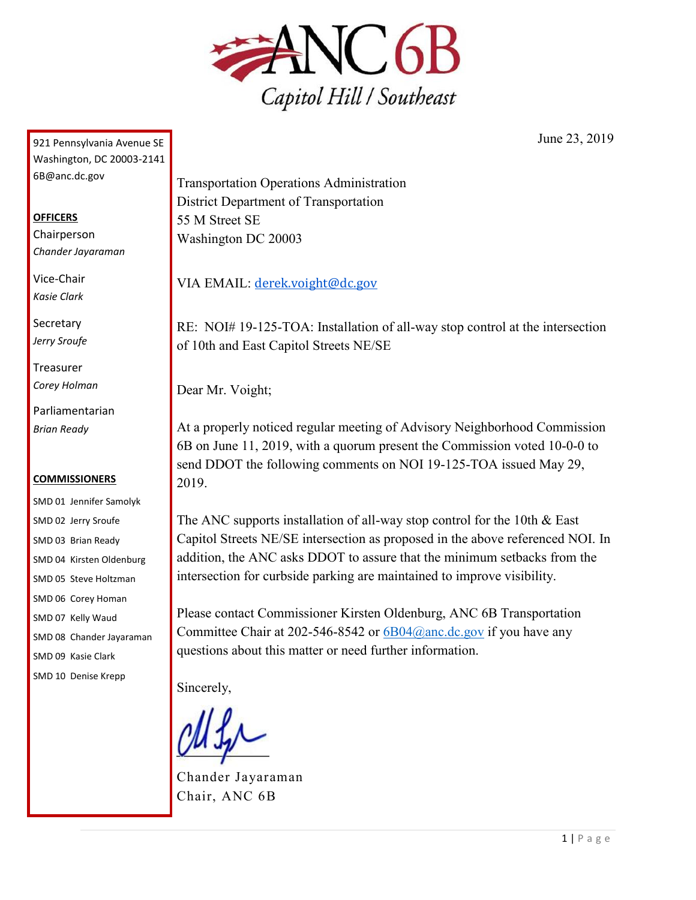

921 Pennsylvania Avenue SE Washington, DC 20003-2141 6B@anc.dc.gov

## **OFFICERS**

Chairperson *Chander Jayaraman*

Vice-Chair *Kasie Clark*

**Secretary** *Jerry Sroufe*

Treasurer *Corey Holman*

Parliamentarian *Brian Ready*

## **COMMISSIONERS**

SMD 01 Jennifer Samolyk SMD 02 Jerry Sroufe SMD 03 Brian Ready SMD 04 Kirsten Oldenburg SMD 05 Steve Holtzman SMD 06 Corey Homan SMD 07 Kelly Waud SMD 08 Chander Jayaraman SMD 09 Kasie Clark SMD 10 Denise Krepp

Transportation Operations Administration District Department of Transportation 55 M Street SE Washington DC 20003

VIA EMAIL: [derek.voight@dc.gov](mailto:derek.voight@dc.gov)

RE: NOI# 19-125-TOA: Installation of all-way stop control at the intersection of 10th and East Capitol Streets NE/SE

Dear Mr. Voight;

At a properly noticed regular meeting of Advisory Neighborhood Commission 6B on June 11, 2019, with a quorum present the Commission voted 10-0-0 to send DDOT the following comments on NOI 19-125-TOA issued May 29, 2019.

The ANC supports installation of all-way stop control for the 10th & East Capitol Streets NE/SE intersection as proposed in the above referenced NOI. In addition, the ANC asks DDOT to assure that the minimum setbacks from the intersection for curbside parking are maintained to improve visibility.

Please contact Commissioner Kirsten Oldenburg, ANC 6B Transportation Committee Chair at 202-546-8542 or  $6B04$ @anc.dc.gov if you have any questions about this matter or need further information.

Sincerely,

Chander Jayaraman Chair, ANC 6B

June 23, 2019